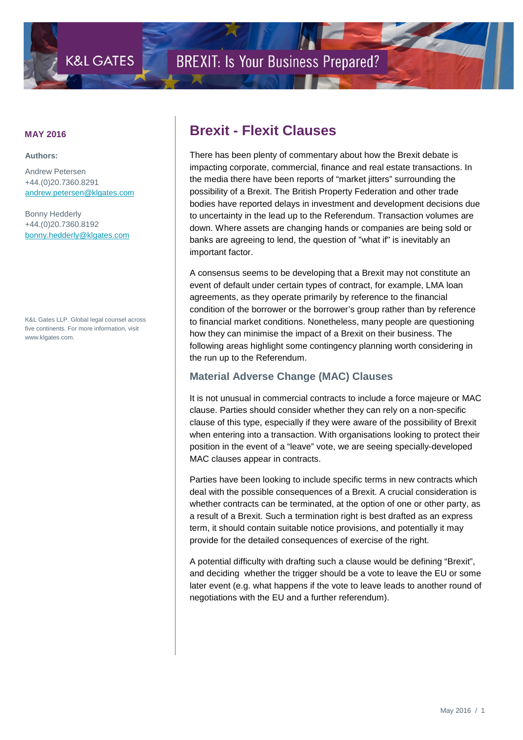

**Authors:**

Andrew Petersen +44.(0)20.7360.8291 [andrew.petersen@klgates.com](mailto:andrew.petersen@klgates.com)

Bonny Hedderly +44.(0)20.7360.8192 [bonny.hedderly@klgates.com](mailto:bonny.hedderly@klgates.com)

K&L Gates LLP. Global legal counsel across five continents. For more information, visit www.klgates.com.

## **MAY 2016 Brexit - Flexit Clauses**

There has been plenty of commentary about how the Brexit debate is impacting corporate, commercial, finance and real estate transactions. In the media there have been reports of "market jitters" surrounding the possibility of a Brexit. The British Property Federation and other trade bodies have reported delays in investment and development decisions due to uncertainty in the lead up to the Referendum. Transaction volumes are down. Where assets are changing hands or companies are being sold or banks are agreeing to lend, the question of "what if" is inevitably an important factor.

A consensus seems to be developing that a Brexit may not constitute an event of default under certain types of contract, for example, LMA loan agreements, as they operate primarily by reference to the financial condition of the borrower or the borrower's group rather than by reference to financial market conditions. Nonetheless, many people are questioning how they can minimise the impact of a Brexit on their business. The following areas highlight some contingency planning worth considering in the run up to the Referendum.

#### **Material Adverse Change (MAC) Clauses**

It is not unusual in commercial contracts to include a force majeure or MAC clause. Parties should consider whether they can rely on a non-specific clause of this type, especially if they were aware of the possibility of Brexit when entering into a transaction. With organisations looking to protect their position in the event of a "leave" vote, we are seeing specially-developed MAC clauses appear in contracts.

Parties have been looking to include specific terms in new contracts which deal with the possible consequences of a Brexit. A crucial consideration is whether contracts can be terminated, at the option of one or other party, as a result of a Brexit. Such a termination right is best drafted as an express term, it should contain suitable notice provisions, and potentially it may provide for the detailed consequences of exercise of the right.

A potential difficulty with drafting such a clause would be defining "Brexit", and deciding whether the trigger should be a vote to leave the EU or some later event (e.g. what happens if the vote to leave leads to another round of negotiations with the EU and a further referendum).